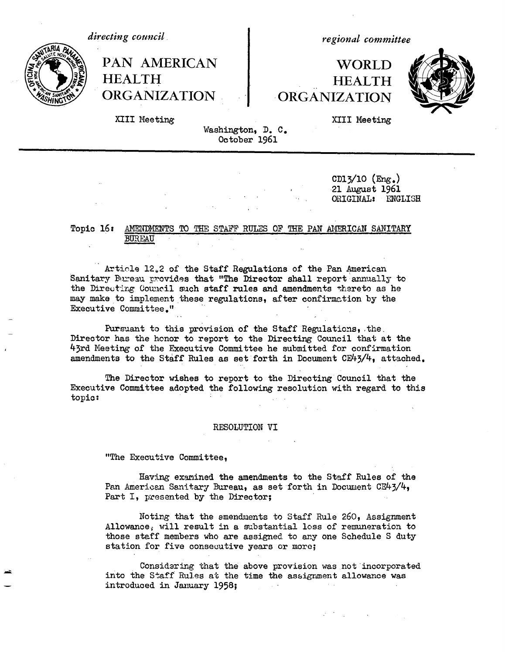*directing council*



**HEALTH HEALTH ORGANIZATION ORGANIZATION**

*regional committee*

# PAN AMERICAN | WORLD



XIII Meeting XIII Meeting

Washington, D. C. October 1961

> CD13/10 (Eng.) 21 August 1961 ORIGINAL: ENGIISH

### Topic 16: AMENDMENTS TO THE STAFF RULES OF THE PAN AMERICAN SANITARY BUREAU

Article 12.2 of the Staff Regulations of the Pan American Sanitary Bureau provides that "The Director shall report annually to the Directing Council such staff rules and amendments thereto as he may make to implement these regulations, after confirmation by the Executive Committee."

Pursuant to this provision of the Staff Regulations, the Director has the honor to report to the Directing Council that at the 43rd Meeting of the Executive Committee he submitted for confirmation amendments to the Staff Rules as set forth in Document CE43/4, attached.

The Director wishes to report to the Directing Council that the Executive Committee adopted the following resolution with regard to this topic:

### RESOLUTION VI

"The Executive Committee,

Having examined the amendments to the Staff Rules of the Pan American Sanitary Bureau, as set forth in Document CE43/4, Part I, presented by the Director;

Noting that the amendments to Staff Rule 260, Assignment Allowance, will result in a substantial loss of remuneration to those staff members who are assigned to any one Schedule S duty station for five consecutive years or more;

Considering that the above provision was not 'incorporated into the Staff Rules at the time the assignment allowance was introduced in January 1958; **Contractor**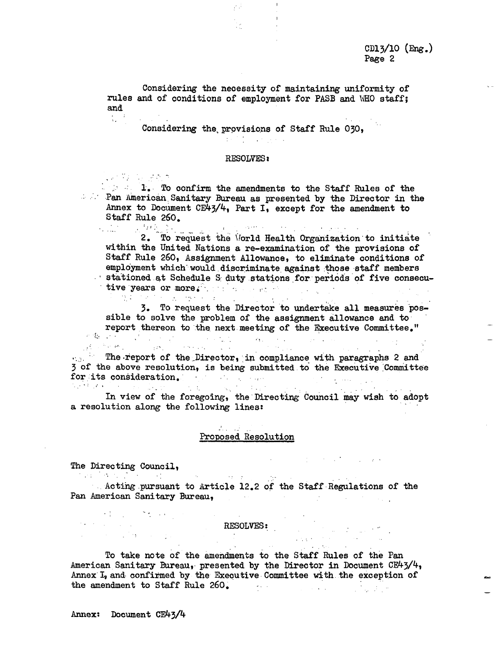Considering the necessity of maintaining uniformity of rules and of conditions of employment for PASB and UHO staff; and  $\frac{1}{3} \frac{1}{2}$ 

관계

Considering the, provisions of Staff Rule 030,

### RESOLVES:

 $\frac{1}{2}$ :  $\frac{1}{2}$  . To confirm the amendments to the Staff Rules of the **Pan American Sanitary Bureau as presented by the Director in the** Annex to Document CE43/4, Part I, except for the amendment to Staff Rule 260.  $\sim$  space  $\sim$ 

2. To request the World Health Organization to initiate الكثيبة  $\sim$  10  $^{\circ}$ within the United Nations a re-examination of the provisions of Staff Rule 260, Assignment Allowance, to eliminate conditions of employment which would discriminate against those staff members - stationed.at Schedule S duty stations for periods of five consecutive years or more . : .  $\mathcal{L}_{\mathrm{L}}$  ,  $\mathcal{L}_{\mathrm{L}}$ 

3. To request the Director to undertake all measures possible to solve the problem of the assignment allowance and to report thereon to the next meeting of the Executive Committee."

 $\sigma_{\rm{eff}}$  and  $\sigma_{\rm{eff}}$  and  $\sigma_{\rm{eff}}$ ... The report of the Director, in compliance with paragraphs 2 and 3 of the above resolution, is being submitted to the Executive Committee for its consideration.

 $\mathcal{L}_{\text{max}}$  , and  $\mathcal{L}_{\text{max}}$ In view of the foregoing, the Directing Council may wish to adopt a resolution along the following lines:

### a di secolo della Proposed Resolution

 $\mathcal{L}^{\mathcal{L}}$  , where  $\mathcal{L}^{\mathcal{L}}$  is the contribution of the contribution of  $\mathcal{L}^{\mathcal{L}}$ 

 $\mathcal{L}^{\text{max}}$  and  $\mathcal{L}^{\text{max}}$ 

The Directing Council, the contraction of the contraction of the contraction of the contraction of the contraction of the contraction of the contraction of the contraction of the contraction of the contraction of the contr

 $\label{eq:2.1} \mathcal{L}_{\mathcal{A}}(\mathcal{A}) = \mathcal{L}_{\mathcal{A}}(\mathcal{A}) = \mathcal{L}_{\mathcal{A}}(\mathcal{A}) = \mathcal{L}_{\mathcal{A}}(\mathcal{A}) = \mathcal{L}_{\mathcal{A}}(\mathcal{A})$ 

 $\mathcal{O}(\mathcal{A})$  , where  $\mathcal{O}(\mathcal{A})$  and  $\mathcal{O}(\mathcal{A})$ 

(相同) 微小的

. Acting pursuant to Article 12.2 of the Staff Regulations of the Pan American Sanitary Bureau,  $\mathcal{O}(\mathcal{A})$  and  $\mathcal{O}(\mathcal{A})$  are the set of the set of  $\mathcal{O}(\mathcal{A})$ 

## RESOLVES:

 $\sim 10^{-1}$ 

To take note of the amendments to the Staff Rules of the Pan American Sanitary Bureau, presented by the Director in Document CE43/4, Annex I, and confirmed by the Executive Committee with. the exception of the amendment to Staff Rule 260. a sa Sil

Annex: Document CE43/4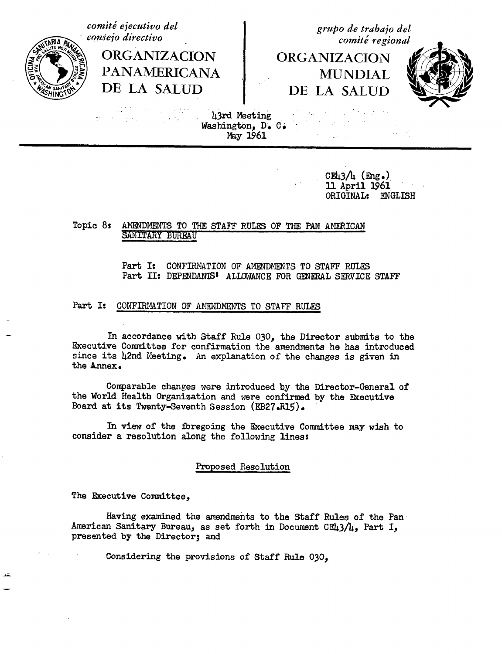*comiti ejecutivo del consejo directivo*

> **ORGANIZACION PANAMERICANA** DE LA SALUD

*grupo de trabajo del comite regional*

ORGANIZACION MUNDIAL DE LA SALUD



13rd Meeting Washington, D. C.<br>May 1961

> $CH<sub>13</sub>/h$  (Eng.) 11 April 1961<br>ORIGINAL: ENGLISH ORIGINAL:

### Topic 8: AMENDMENTS TO THE STAFF RULES OF THE PAN AMERICAN SANITARY BUREAU

Part I: CONFIRMATION OF AMENDMENTS TO STAFF RULES Part II: DEPENDANIS' ALLOWANCE FOR GENERAL SERVICE STAFF

### Part I: CONFIRMATION OF AMENDMENTS TO STAFF RULES

In accordance with Staff Rule 030, the Director submits to the Executive Committee for confirmation the amendments he has introduced since its 42nd Meeting. An explanation of the changes is given in the Annex.

Comparable changes were introduced by the Director-General of the World Health Organization and were confirmed by the Executive Board at its Twenty-Seventh Session (EB27.R15).

In view of the foregoing the Executive Committee may wish to consider a resolution along the following lines:

### Proposed Resolution

The Executive Committee,

Having examined the amendments to the Staff Rules of the Pan American Sanitary Bureau, as set forth in Document CE43/4, Part I, presented by the Director; and

Considering the provisions of Staff Rule 030,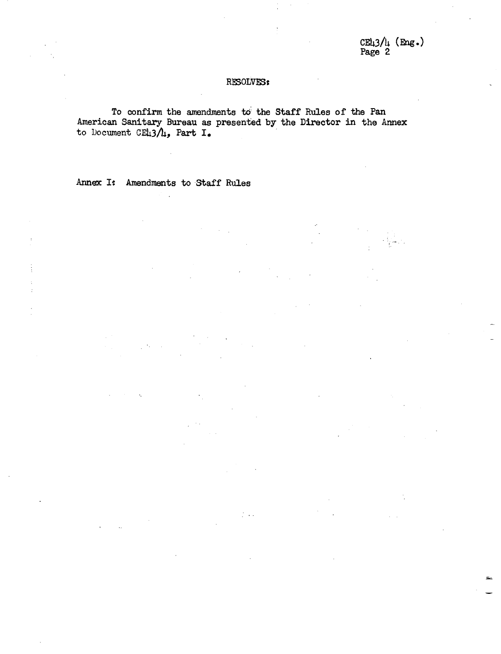CE43/4 **(Eng.)** Page 2

### RESOLVESt

To confirm the amendments toi the Staff Rules of the Pan American Sanitary Bureau as presented by the Director in the Annex to Document CE43/4, Part I.

 $\frac{1}{2}$  ,  $\frac{1}{2}$  ,  $\frac{1}{2}$ 

Annex I: Amendments to Staff Rules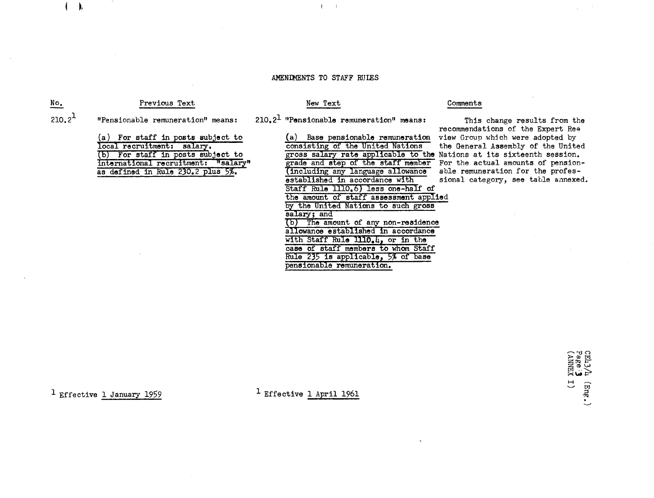### AMENDMENTS TO STAFF RUIES

 $\mathbf{I}$ 

### Previous Text

### New Text

### Comments

"Pensionable remuneration" means:  $210.2<sup>1</sup>$ 

 $\blacksquare$ 

No.

 $210.2<sup>1</sup>$  "Pensionable remuneration" means:

(a) For staff in posts subject to local recruitment: salary. (b) For staff in posts subject to international recruitment: "salary" as defined in Rule 230.2 plus 5%.

(a) Base pensionable remuneration consisting of the United Nations gross salary rate applicable to the Nations at its sixteenth session. grade and step of the staff member (including any language allowance established in accordance with Staff Rule 1110.6) less one-half of the amount of staff assessment applied by the United Nations to such gross salary; and (b) The amount of any non-residence allowance established in accordance with Staff Rule 1110.4, or in the case of staff members to whom Staff Rule 235 is applicable, 5% of base pensionable remuneration.

This change results from the recommendations of the Expert Rea view Group which were adopted by the General Assembly of the United For the actual amounts of pensionable remuneration for the professional category, see table annexed.

 $1$  Effective 1 January 1959

1 Effective 1 April 1961

CE43/4 (Eng.)<br>Page: 3<br>(ANNEX I)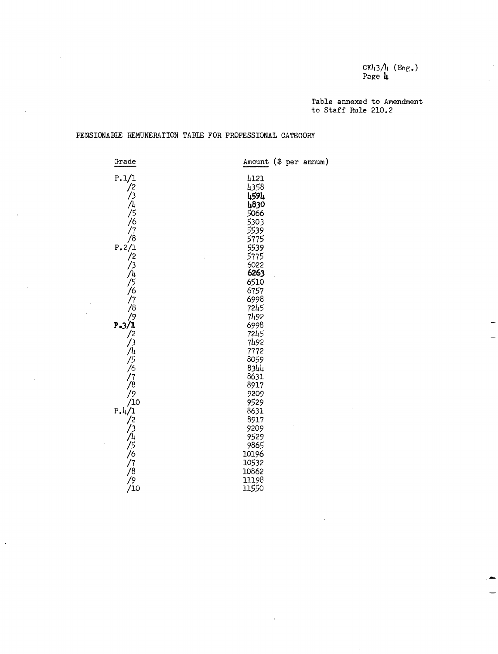CE43/4 (Eng.) Page **I**

Table annexed to Amendment to Staff Rule 210.2

### PENSIONABLE REMUNERATION TABLE FOR PROFESSIONAL CATEGORY

| Grade                                                                                                           | Amount (\$ per annum) |  |
|-----------------------------------------------------------------------------------------------------------------|-----------------------|--|
| P.1/1                                                                                                           | 4121                  |  |
| なんしょう                                                                                                           | 4358                  |  |
|                                                                                                                 | 4594                  |  |
|                                                                                                                 | 4830                  |  |
|                                                                                                                 | 5066                  |  |
|                                                                                                                 | 5303                  |  |
|                                                                                                                 | 5539                  |  |
| $\gamma_8$                                                                                                      | 5775<br>5539          |  |
| P.2/1                                                                                                           |                       |  |
| /2                                                                                                              | 5775                  |  |
| ر⁄                                                                                                              | 6022                  |  |
|                                                                                                                 | 6263                  |  |
|                                                                                                                 | 6510                  |  |
|                                                                                                                 | 6757                  |  |
| /4/5/6 /7 /8                                                                                                    | 6998<br>7245          |  |
| 79                                                                                                              | 7492                  |  |
| $P - 3/1$                                                                                                       | 6998                  |  |
|                                                                                                                 | 7245                  |  |
| /2/3/4/5/6/7/8 9 10                                                                                             | 7492                  |  |
|                                                                                                                 | 7772                  |  |
|                                                                                                                 | 8059                  |  |
|                                                                                                                 | 8344                  |  |
|                                                                                                                 | 8631                  |  |
|                                                                                                                 | 8917                  |  |
|                                                                                                                 | 9209                  |  |
|                                                                                                                 | 9529                  |  |
| P.1/1                                                                                                           | 8631                  |  |
|                                                                                                                 | 8917                  |  |
|                                                                                                                 | 9209                  |  |
|                                                                                                                 | 9529                  |  |
|                                                                                                                 | 9865                  |  |
|                                                                                                                 | 10196                 |  |
| <b>/ 2 13/http://t/2 14/http://t/2 14/http://t/2 14/http://t/2 14/http://t/2 14/http://t/2 14/http://t/2 14</b> | 10532                 |  |
|                                                                                                                 | 10862                 |  |
|                                                                                                                 | 11198                 |  |
|                                                                                                                 | 11550                 |  |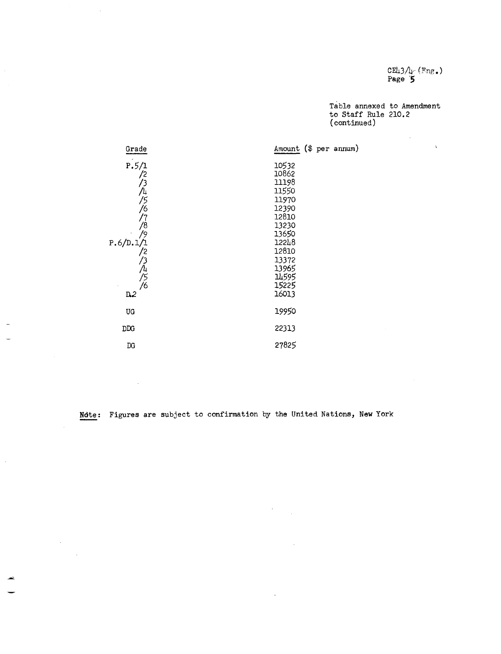CE43/4  $(\texttt{Fng.})$ Page **'5**

Table annexed to Amendment to Staff Rule 210.2 (continued)



**Ndte:** Figures are subject to confirmation by the United Nations, New York

 $\ddot{\phantom{a}}$ 

 $\sim$ 

 $\sim$ 

 $\sim$ 

 $\bar{z}$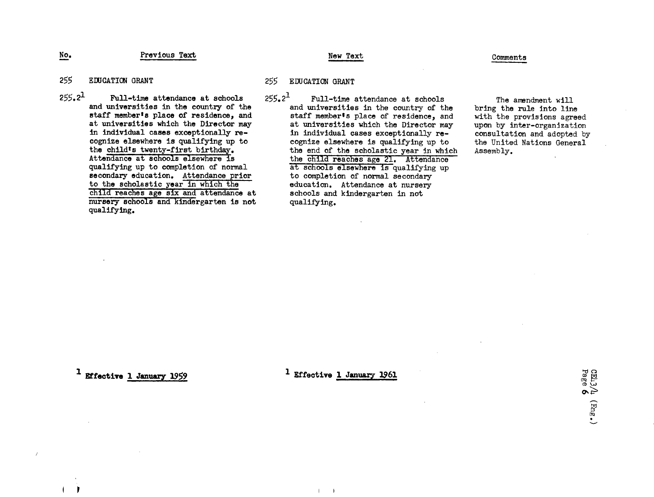Previous Text No. Previous Text New Text New Text Comments

- 255 EDUCATION GRANT
- $255.2<sup>1</sup>$  Full-time attendance at schools and universities in the country of the staff memberts place of residence, and at universities which the Director may in individual cases exceptionally recognize elsewhere is qualifying up to the child's twenty-first birthday. Attendance at schools elsewhere is qualifying up to completion of normal secondary education. Attendance prior to the scholastic year in which the child reaches age six and attendance at nursery schools and kindergarten is not qualifying.

255 EDUCATION GRANT

 $255.2<sup>1</sup>$  Full-time attendance at schools and universities in the country of the staff memberts place of residence, and at universities which the Director may in individual cases exceptionally recognize elsewhere is qualifying up to the end of the scholastic year in which the child reaches age 21. Attendance at schools elsewhere is qualifying up to completion of normal secondary education. Attendance at nursery schools and kindergarten in not qualifying.

The amendment will bring the rule into line with the provisions agreed upon by inter-organization consultation and adopted by the United Nations General Assembly.

1 **Effective 1 January 1959** 1 **Effective 1 January 1961** 

 $\blacksquare$ 

CEL)<br>Page  $\sim$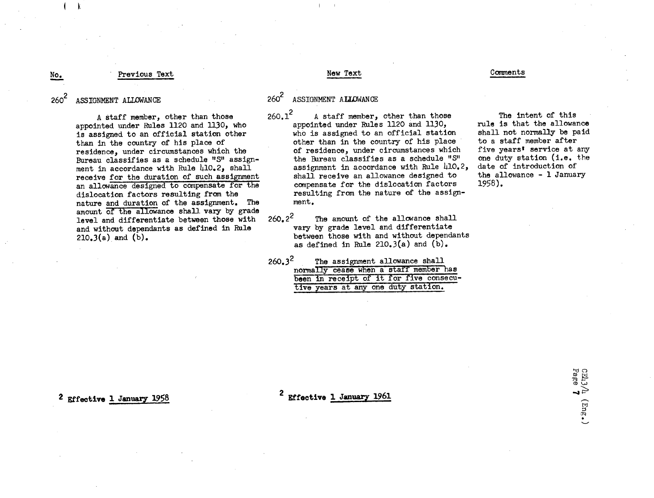### Previous Text No. Previous Text Comments New Text New Text Comments

ASSIGNMENT ALLOWANCE  $260^2$ 

> A staff member, other than those appointed under Rules 1120 and 1130, who is assigned to an official station other than in the country of his place of residence, under circumstances which the Bureau classifies as a schedule "S" assignment in accordance with Rule  $410.2$ , shall receive for the duration of such assignment an allowance designed to compensate for the dislocation factors resulting from the nature and duration of the assignment. The amount of the allowance shall vary by grade level and differentiate between those with and without dependants as defined in Rule  $210.3(a)$  and  $(b)$ .

### 260<sup>2</sup> ASSIGNMENT ALLOWANCE

 $260.1<sup>2</sup>$  A staff member, other than those appointed under Rules 1120 and 1130, who is assigned to an official station other than in the country of his place of residence, under circumstances which the Bureau classifies as a schedule "S" assignment in accordance with Rule 410.2, shall receive an allowance designed to compensate for the dislocation factors resulting from the nature of the assignment.

 $260.2^2$  The amount of the allowance shall vary by grade level and differentiate between those with and without dependants as defined in Rule 210.3(a) and  $(b)$ .

| $260.3^2$ |  | The assignment allowance shall          |  |
|-----------|--|-----------------------------------------|--|
|           |  | normally cease when a staff member has  |  |
|           |  | been in receipt of it for five consecu- |  |
|           |  | tive years at any one duty station.     |  |

The intent of this rule is that the allowance shall not normally be paid to a staff member after five years' service at any one duty station (i.e. the date of introduction of the allowance - 1 January 1958).

2 Effective 1 January 1958

**2 Effective** 1 January 1961

i.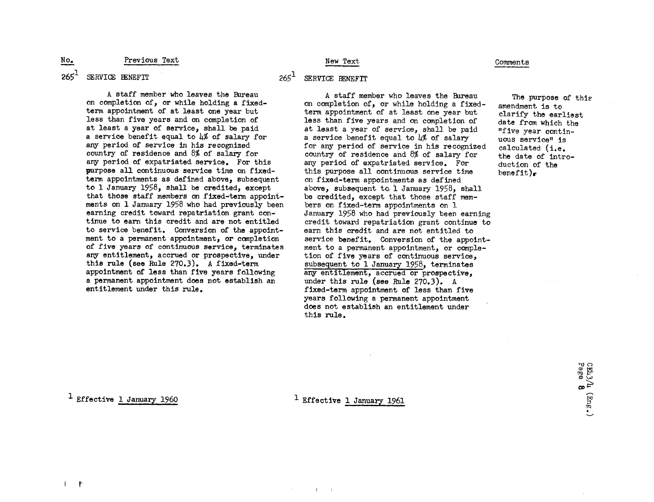### Previous Text

### New Text

### SERVICE BENEFIT  $265^1$

No.

A staff member who leaves the Bureau on completion of, or while holding a fixedterm appointment of at least one year but less than five years and on completion of at least a year of service, shall be paid a service benefit equal to 4% of salary for any period of service in his recognized country of residence and 8% of salary for any period of expatriated service. For this purpose all continuous service time on fixedterm appointments as defined above, subsequent to 1 January 1958, shall be credited, except that those staff members on fixed-term appointments on 1 January 1958 who had previously been earning credit toward repatriation grant continue to earn this credit and are not entitled to service benefit. Conversion of the appointment to a permanent appointment, or completion of five years *of* continuous service, terminates any entitlement, accrued or prospective, under this rule (see Rule 270.3). A fixed-term appointment of less than five years following a permanent appointment does not establish an entitlement under this rule.

### 265<sup>1</sup> SERVICE BENEFIT

A staff member who leaves the Bureau on completion of, or while holding a fixedterm appointment of at least one year but less than five years and on completion of at least a year of service, shall be paid a service benefit equal to 4% of salary for any period of service in his recognized country of residence and 8% of salary for any period of expatriated service. For this purpose all continuous service time on fixed-term appointments as defined above, subsequent to, 1 January 1958, shall be credited, except that those staff members on fixed-term appointments on 1 January 1958 who had previously been earning credit toward repatriation grant continue to earn this credit and are not entitled to service benefit. Conversion of the appointment to a permanent appointment, or completion of five years of continuous service, subsequent to 1 January 1958, terminates any entitlement, accrued or prospective, under this rule (see Rule 270.3). A fixed-term appointment of less than five years following a permanent appointment does not establish an entitlement under this rule.

### Comments

The purpose of this amendment is to clarify the earliest date from which the "five year continuous service" is calculated (i.e. the date of introduction of the  $b$ enefit).

1 Effective 1 January 1960

1 Effective 1 January 1961 **,**

 $\mathbf{I}$ 

I r'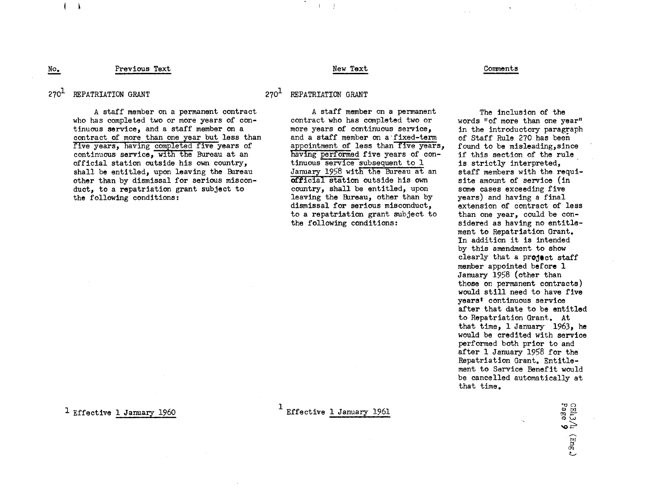### Previous Text No. Between the comments of the comments of the New Text. The Comments of Comments of the Comments of the Comments of the Comments of the Comments of the Comments of the Comments of the Comments of the Comments of the Comm

### $270<sup>1</sup>$  REPATRIATION GRANT  $270<sup>1</sup>$  REPATRIATION GRANT

I

A staff member on a permanent contract who has completed two or more years of continuous service, and a staff member on a contract of more than one year but less than five years, having completed five years of continuous service, with the Bureau at an official station outside his own country, shall be entitled, upon leaving the Bureau other than by dismissal for serious misconduct, to a repatriation grant subject to the following conditions:

A staff member on a permanent contract who has completed two or more years of continuous service, and a staff member on a-fixed-term appointment of less than five years, having performed five years of continuous service subsequent to 1 January 1958 with the Bureau at an official station outside his own country, shall be entitled, upon leaving the Bureau, other than by dismissal for serious misconduct, to a repatriation grant subject to the following conditions:

The inclusion of the words "of more than one year" in the introductory paragraph of Staff Rule 270 has been found to be misleading, since if this section of the rule is strictly interpreted, staff members with the requisite amount of service (in some cases exceeding five years) and having a final extension of contract of less than one year, could be considered as having no entitlement to Repatriation Grant. In addition it is intended by this amendment to show clearly that a project staff member appointed before 1 January 1958 (other than those on permanent contracts) would still need to have five yearst continuous service after that date to be entitled to Repatriation Grant. At that time, 1 January 1963, he would be credited with service performed both prior to and after 1 January 1958 for the Repatriation Grant. Entitlement to Service Benefit would be cancelled automatically at that time.

<sup>1</sup> Effective 1 January 1960 <sup>th</sup> Effective 1 January 1961

**IT** nz t M **(D W** t~ . *TJF*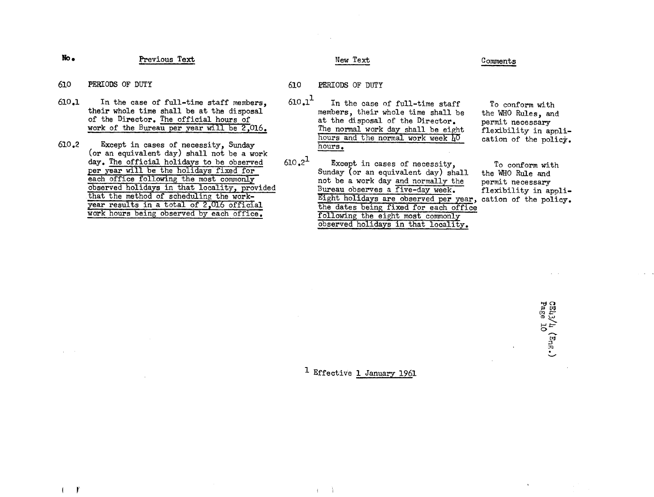Previous Text **No.** Previous Text Comments

- 610 PERIODS OF DUTY 610 PERIODS OF DUTY
- 610.1 In the case of full-time staff members, their whole time shall be at the disposal of the Director. The official hours of work of the Bureau per year will be 2,016.
- 610.2 Except in cases of necessity, Sunday (or an equivalent day) shall not be a work day. The official holidays to be observed per year will be the holidays fixed for each office following the most commonly observed holidays in that locality, provided that the method of scheduling the workyear results in a total of 2,016 official work hours being observed by each office.
- 
- $610.1<sup>1</sup>$ In the case of full-time staff members, their whole time shall be at the disposal of the Director. The normal work day shall be eight hours and the normal work week 40 hours.
- $610.2<sup>1</sup>$ Except in cases of necessity, Sunday (or an equivalent day) shall not be a work day and normally the Bureau observes a five-day week. Eight holidays are observed per year, cation of the policy. the dates being fixed for each office following the eight most commonly observed holidays in that locality.

To conform with the WHO Rules, and permit necessary flexibility in application of the policy.

To conform with the WHO Rule and permit necessary flexibility in appli-

**S13L4** rcm **aw**  $\frac{1}{2}$   $\approx$ **0 GQ ,I**

### <sup>1</sup> Effective 1 January 1961

 $\ddot{\phantom{1}}$ 

 $\mathbf{r}$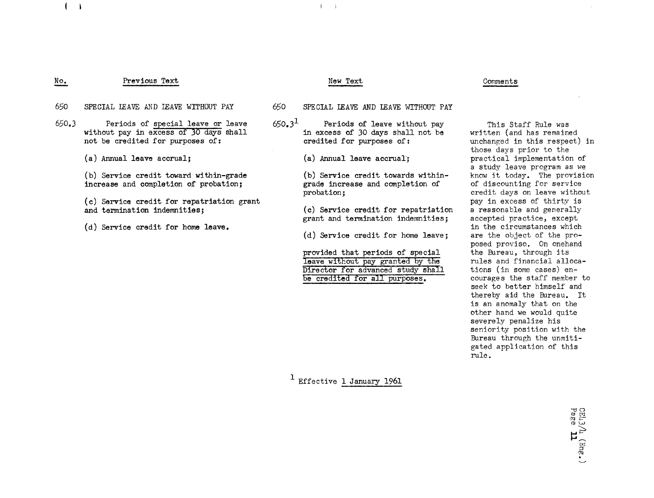### Previous Text No.

**4** I

 $\mathbf{I}$ 

### New Text Comments

- 650 SPECIAL LEAVE AND LEAVE WITHOUT PAY 650 SPECIAL LEAVE AND LEAVE WITHOUT PAY
- Periods of special leave or leave without pay in excess of 30 days shall not be credited for purposes of: 650.3
	- (a) Annual leave accrual;

(b) Service credit toward within-grade increase and completion of probation;

**(c)** Service credit for repatriation grant and termination indemnities;

(d) Service credit for home leave.

- 
- $650.3<sup>1</sup>$ Periods of leave without pay in excess of 30 days shall not be credited for purposes of:
	- (a) Annual leave accrual;

(b) Service credit towards withingrade increase and completion of probation;

(c) Service credit for repatriation grant and termination indemnities;

(d) Service credit for home leave;

provided that periods of special leave without pay granted by the Director for advanced study shall be credited for all purposes.

written (and has remained unchanged in this respect) in those days prior to the practical implementation of a study leave program as we know it today. The provision of discounting for service credit days on leave without pay in excess of thirty is a reasonable and generally accepted practice, except in the circumstances which are the object of the proposed proviso. On onehand the Bureau, through its rules and financial allocations (in some cases) encourages the staff member to seek to better himself and thereby aid the Bureau. It is an anomaly that on the other hand we would quite severely penalize his seniority position with the Bureau through the unmitigated application of this rule.

> I'd C) In *4(* H**t**<br>⊟

> > .

This Staff Rule was

1 Effective 1 January 1961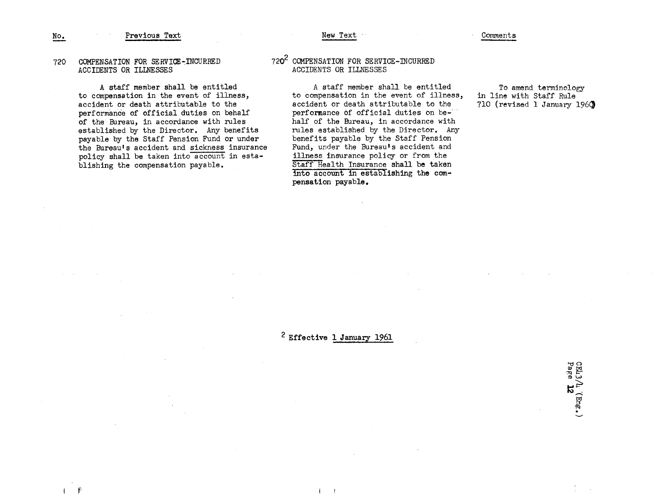### Previous Text No. Previous Text Comments Comments New Text New Text Comments

### 720 COMPENSATION FOR SERVICE-INCURRED ACCIDENTS OR ILLNESSES

A staff member shall be entitled to compensation in the event of illness, accident or death attributable to the performance of official duties on behalf of the Bureau, in accordance with rules established by the Director. Any benefits payable by the Staff Pension Fund or under the Bureau's accident and sickness insurance policy shall be taken into account in establishing the compensation payable.

### 720<sup>2</sup> COMPENSATION FOR SERVICE-INCURRED ACCIDENTS OR ILLNESSES

A staff member shall be entitled to compensation in the event of illness, accident or death attributable to the performance of official duties on behalf of the Bureau, in accordance with rules established by the Director. Any benefits payable by the Staff Pension Fund, under the Bureau's accident and illness insurance policy or from the Staff Health Insurance **shall be** taken into account in establishing **the compensation payable.**

To amend terminology in line with Staff Rule 710 (revised 1 January 1969

 $\frac{1}{2}$   $\sigma$ 

**toj** 0) e19 CD

### 2 **Effective 1 January** 1961

 $($   $+$ 

 $\mathbf{I} = \mathbf{P}$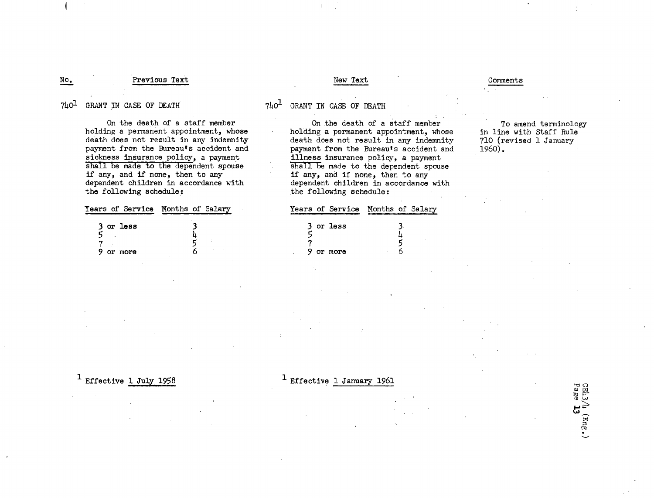### Previous Text No. 2. Previous Text Comments New Text New Text Comments

### $740<sup>1</sup>$  GRANT IN CASE OF DEATH  $740<sup>1</sup>$  GRANT IN CASE OF DEATH

I

On the death of a staff member holding a permanent appointment, whose death does not result in any indemnity payment from the Bureau's accident and sickness insurance policy, a payment shall be made to the dependent spouse if any, and if none, then to any dependent children in accordance with the following schedule:

| Years of Service – Months of Salary |  |
|-------------------------------------|--|
| 3 or less                           |  |
|                                     |  |
|                                     |  |
| 9 or more                           |  |

On the death of a staff member holding a permanent appointment, whose death does not result in any indemnity payment from the Bureauts accident and illness insurance policy, a payment shall be made to the dependent spouse if any, and if none, then to any dependent children in accordance with the following schedule:

 $\mathcal{L}$  :  $\mathcal{L}$  :  $\mathcal{L}$  :  $\mathcal{L}$  :  $\mathcal{L}$  :  $\mathcal{L}$  :  $\mathcal{L}$  :  $\mathcal{L}$  :  $\mathcal{L}$  :  $\mathcal{L}$  :  $\mathcal{L}$  :  $\mathcal{L}$  :  $\mathcal{L}$  :  $\mathcal{L}$  :  $\mathcal{L}$  :  $\mathcal{L}$  :  $\mathcal{L}$  :  $\mathcal{L}$  :  $\mathcal{L}$  :  $\mathcal{L}$  :

To amend terminology in line with Staff Rule 710 (revised 1 January 1960).

Dage<br>Page

**"E**

### Years of Service Months of Salary **3**

|   | or less |   |  |
|---|---------|---|--|
|   |         |   |  |
|   |         |   |  |
| 9 | or more | ٠ |  |

<sup>1</sup> Effective 1 July 1958

1 Effective 1 January 1961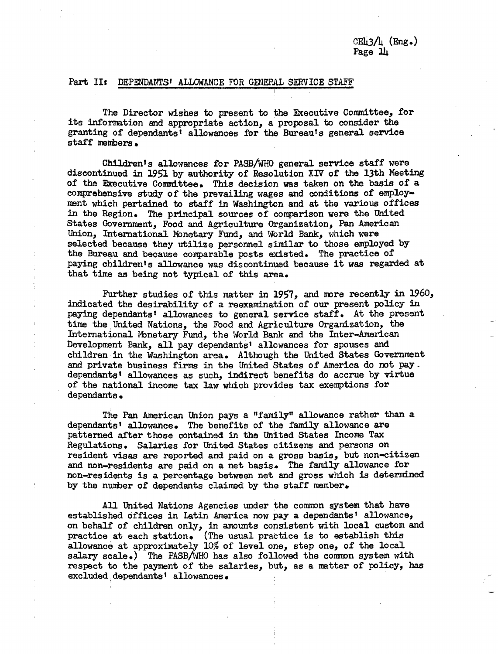### Part II: DEPENDANTS' ALLOWANCE FOR GENERAL SERVICE STAFF

The Director wishes to present to the Executive Committee, for its information and appropriate action, a proposal to consider the granting of dependants' allowances for the Bureau's general service staff members.

Children's allowances for PASB/WHO general service staff were discontinued in 1951 by authority of Resolution XIV of the 13th Meeting of the Executive Committee. This decision was taken on the basis of a comprehensive study of the prevailing wages and conditions of employment which pertained to staff in Washington and at the various offices in the Region. The principal sources of comparison were the United States Government, Food and Agriculture Organization, Pan American Union, International Monetary Fund, and World Bank, which were selected because they utilize personnel similar to those employed by the Bureau and because comparable posts existed. The practice of paying children's allowance was discontinued because it was regarded at that time as being not typical of this area.

Further studies of this matter in 1957, and more recently in 1960, indicated the desirability of a reexamination of our present policy in paying dependants' allowances to general service staff. At the present time the United Nations, the Food and Agriculture Organization, the International Mbnetary Fund, the World Bank and the Inter-American Development Bank, all pay dependants' allowances for spouses and children in the Washington area. Although the United States Government and private business firms in the United States of America do not paydependants' allowances as such, indirect benefits do accrue by virtue of the national income tax law which provides tax exemptions for dependants.

 $\epsilon$ 

The Pan American Union pays a "family" allowance rather than a dependants' allowance. The benefits of the family allowance are patterned after those contained in the United States Income Tax Regulations. Salaries for United States citizens and persons on resident visas are reported and paid on a gross basis, but non-citizen and non-residents are paid on a net basis. The family allowance for non-residents is a percentage between net and gross which is determined by the number of dependants claimed by the staff member.

All United Nations Agencies under the common system that have established offices in Latin America now pay a dependants' allowance, on behalf of children only, in amounts consistent with local custom and practice at each station. (The usual practice is to establish this allowance at approximately 10% of level one, step one, of the local salary scale.) The PASB/WHO has also followed the common system with respect to the payment of the salaries, but, as a matter of policy, has excluded dependants' allowances.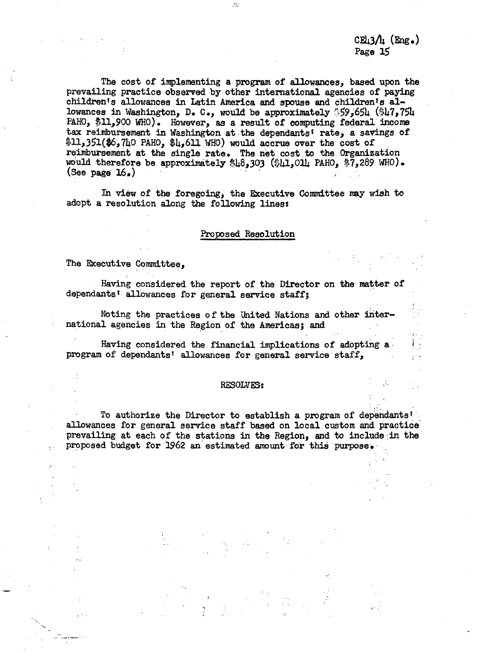$CE<sub>13</sub>/h$   $(E<sub>ng.</sub>)$ Page 15

The cost of implementing a program of allowances, based upon the prevailing practice observed by other international agencies of paying children's allowances in Latin America and spouse and childrents allowances in Washington, D. C., would be approximately 59,5654 (\$47,754 PAHO, \$11,900 WHO). However, as a result of computing federal income tax reimbursement in Washington at the dependants' rate, a savings of \$11,351(\$6,740 PAHO, \$4,611 WHO) would accrue over the cost of reimbursement at the single rate. The net cost to the Organization would therefore be approximately \$48,303 (\$41,014 PAHO, \$7,289 WHO). (See page 16.)

 $\pm 0$ 

In view of the foregoing, the Executive Committee may wish to adopt a resolution along the following lines:

### Proposed Resolution

The Executive Committee,

Having considered the report of the Director on the matter of dependants' allowances for general service staff;

Noting the practices of the United Nations and other international agencies in the Region of the Americas; and

Having considered the financial implications of adopting a program of dependants' allowances for general service staff,

### RESOLVES:

To authorize the Director to establish a program of dependants' allowances for general service staff based on local custom and practice prevailing at each of the stations in the Region, and to include in the proposed budget for 1962 an estimated amount for this purpose.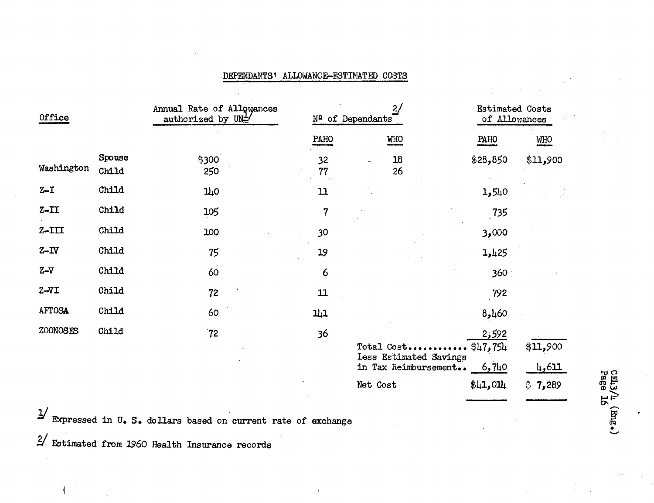### **DEPENDANTSt** ALLOWANCE-FSTIMATED COSTS

| Office        |                 | Annual Rate of Allowances<br>authorized by UN <sup>1</sup> / | 2/<br>Nº of Dependants |                                                              | <b>Estimated Costs</b><br>of Allowances |                    |
|---------------|-----------------|--------------------------------------------------------------|------------------------|--------------------------------------------------------------|-----------------------------------------|--------------------|
|               |                 |                                                              | PAHO                   | <b>WHO</b>                                                   | PAHO                                    | <b>WHO</b>         |
| Washington    | Spouse<br>Child | \$300<br>250                                                 | 32<br>77               | 18<br>26                                                     | \$28,850                                | \$11,900           |
| $Z - I$       | Child           | 110                                                          | 11                     |                                                              | 1,540                                   |                    |
| $Z - II$      | Child           | 105                                                          | $\overline{7}$         |                                                              | 735                                     |                    |
| $Z - III$     | Child           | 100                                                          | 30                     |                                                              | 3,000                                   |                    |
| $Z-TV$        | Child           | 75                                                           | 19                     |                                                              | 1,425                                   |                    |
| $Z-V$         | Child           | 60                                                           | 6                      |                                                              | 360:                                    |                    |
| $Z - VI$      | Child           | 72                                                           | 11                     |                                                              | 792                                     |                    |
| <b>AFTOSA</b> | Child           | 60                                                           | 111                    |                                                              | 8,460                                   |                    |
| ZOONOSES      | Child           | 72 <sub>1</sub>                                              | 36                     | Total Cost<br>Less Estimated Savings<br>in Tax Reimbursement | 2,592<br>\$47,754<br>6,710              | \$11,900<br>114ريا |

Net Cost  $\text{\$l_1,0ll_1$ 

Expressed in U. S. dollars based on current rate of exchange

 $2/$  Estimated from 1960 Health Insurance records

I

of e *-*

 $37,289$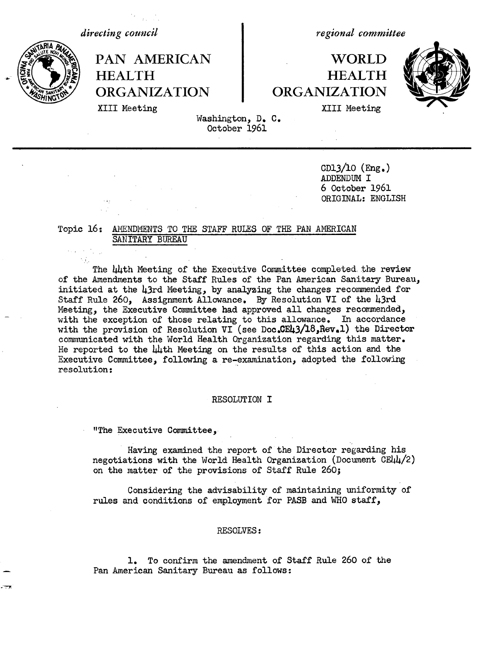*directing council*



*regional committee*

### PAN AMERICAN **WORLD HEALTH HEALTH** ORGANIZATION ORGANIZATION



XIII Meeting XIII Meeting

Washington, D. C. October 1961

> CD13/10 (Eng.) ADDENDUM I 6 October 1961 ORIGINAL: ENGLISH

### Topic 16: AMENDIMENTS TO THE STAFF RULES OF THE PAN AMERICAN SANITARY BUREAU

The 44th Meeting of the Executive Committee completed the review of the Amendments to the Staff Rules of the Pan American Sanitary Bureau, initiated at the 43rd Meeting, by analyzing the changes recommended for Staff Rule 260, Assignment Allowance. By Resolution VI of the 43rd Meeting, the Executive Committee had approved all changes recommended, with the exception of those relating to this allowance. In accordance with the provision of Resolution VI (see Doc.CE43/18, Rev.1) the Director communicated with the World Health Organization regarding this matter. He reported to the 44th Meeting on the results of this action and the Executive Committee, following a re-examination, adopted the following resolution:

### RESOLUTION I

"The Executive Committee,

Having examined the report of the Director regarding his negotiations with the World Health Organization (Document CE44/2) on the matter of the provisions of Staff Rule 260;

Considering the advisability of maintaining uniformity of rules and conditions of employment for PASB and WHO staff,

### RESOLVES:

1. To confirm the amendment of Staff Rule 260 of the Pan American Sanitary Bureau as follows: